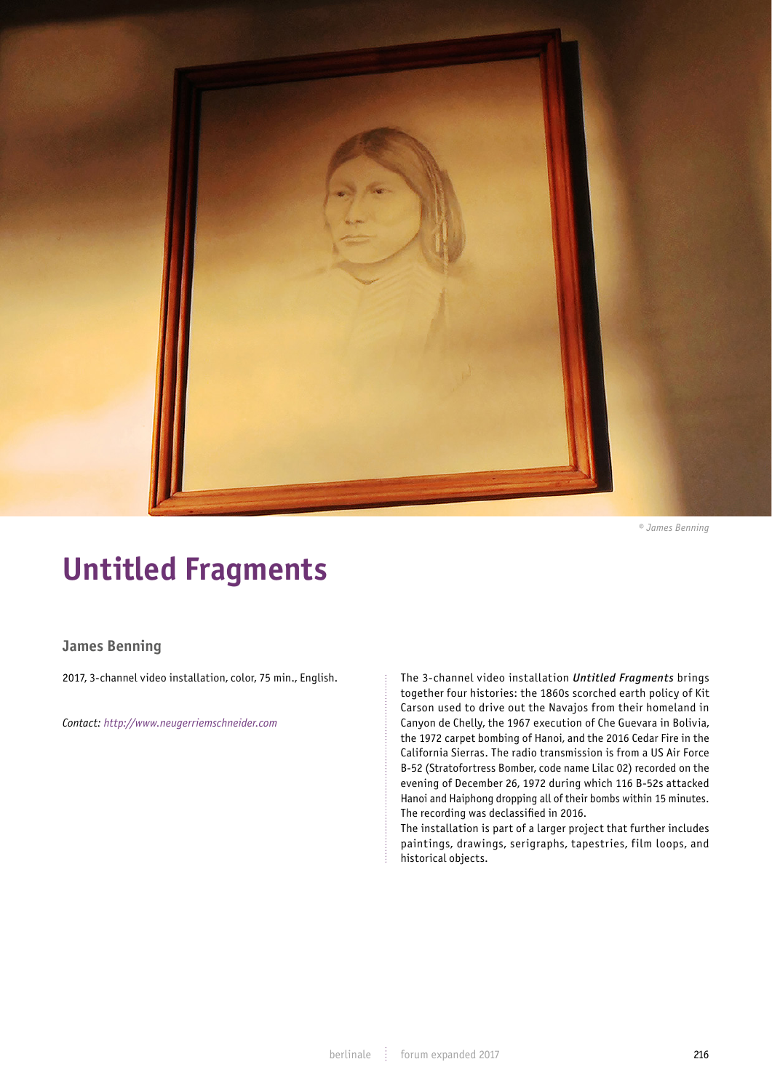

*© James Benning*

## **Untitled Fragments**

## **James Benning**

2017, 3-channel video installation, color, 75 min., English.

*Contact: http://www.neugerriemschneider.com*

The 3-channel video installation *Untitled Fragments* brings together four histories: the 1860s scorched earth policy of Kit Carson used to drive out the Navajos from their homeland in Canyon de Chelly, the 1967 execution of Che Guevara in Bolivia, the 1972 carpet bombing of Hanoi, and the 2016 Cedar Fire in the California Sierras. The radio transmission is from a US Air Force B-52 (Stratofortress Bomber, code name Lilac 02) recorded on the evening of December 26, 1972 during which 116 B-52s attacked Hanoi and Haiphong dropping all of their bombs within 15 minutes. The recording was declassified in 2016.

The installation is part of a larger project that further includes paintings, drawings, serigraphs, tapestries, film loops, and historical objects.